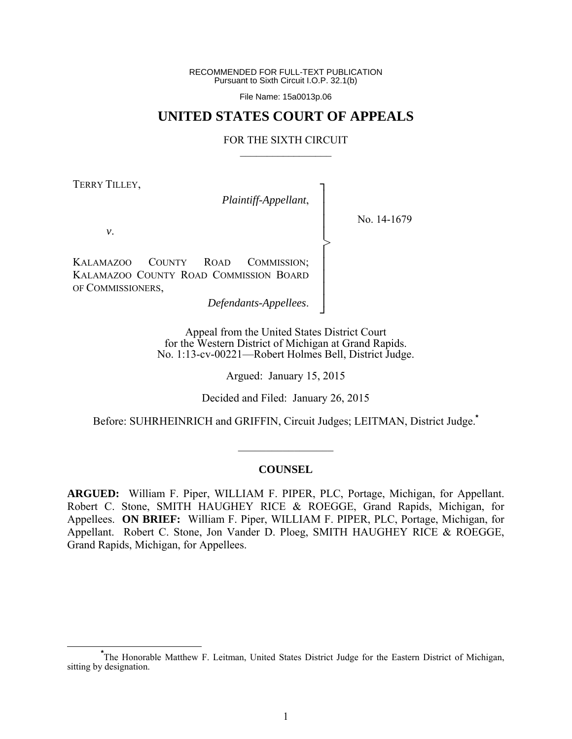RECOMMENDED FOR FULL-TEXT PUBLICATION Pursuant to Sixth Circuit I.O.P. 32.1(b)

File Name: 15a0013p.06

## **UNITED STATES COURT OF APPEALS**

#### FOR THE SIXTH CIRCUIT  $\mathcal{L}_\text{max}$

┐ │ │ │ │ │ │ │ │ │ ┘

>

TERRY TILLEY,

*Plaintiff-Appellant*,

No. 14-1679

*v*.

KALAMAZOO COUNTY ROAD COMMISSION; KALAMAZOO COUNTY ROAD COMMISSION BOARD OF COMMISSIONERS,

*Defendants-Appellees*.

Appeal from the United States District Court for the Western District of Michigan at Grand Rapids. No. 1:13-cv-00221—Robert Holmes Bell, District Judge.

Argued: January 15, 2015

Decided and Filed: January 26, 2015

Before: SUHRHEINRICH and GRIFFIN, Circuit Judges; LEITMAN, District Judge.**\***

#### **COUNSEL**

 $\mathcal{L}_\text{max}$ 

**ARGUED:** William F. Piper, WILLIAM F. PIPER, PLC, Portage, Michigan, for Appellant. Robert C. Stone, SMITH HAUGHEY RICE & ROEGGE, Grand Rapids, Michigan, for Appellees. **ON BRIEF:** William F. Piper, WILLIAM F. PIPER, PLC, Portage, Michigan, for Appellant. Robert C. Stone, Jon Vander D. Ploeg, SMITH HAUGHEY RICE & ROEGGE, Grand Rapids, Michigan, for Appellees.

**\*** The Honorable Matthew F. Leitman, United States District Judge for the Eastern District of Michigan, sitting by designation.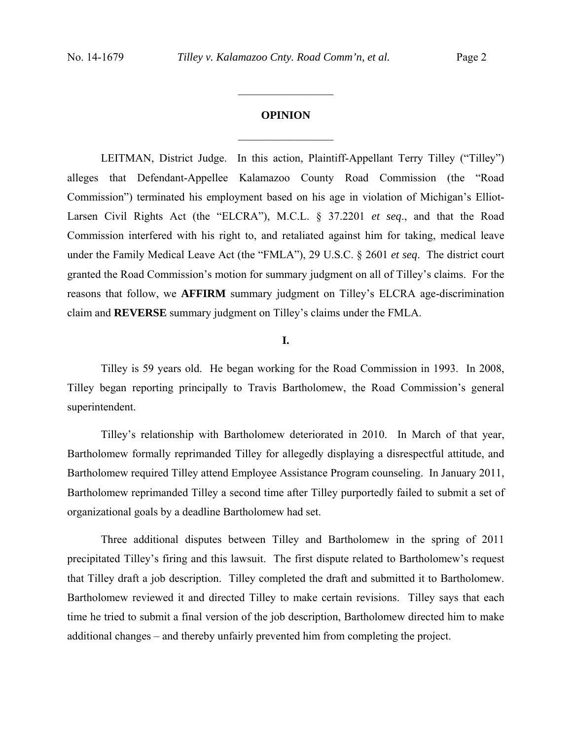# **OPINION**  $\frac{1}{2}$

 $\frac{1}{2}$ 

 LEITMAN, District Judge. In this action, Plaintiff-Appellant Terry Tilley ("Tilley") alleges that Defendant-Appellee Kalamazoo County Road Commission (the "Road Commission") terminated his employment based on his age in violation of Michigan's Elliot-Larsen Civil Rights Act (the "ELCRA"), M.C.L. § 37.2201 *et seq*., and that the Road Commission interfered with his right to, and retaliated against him for taking, medical leave under the Family Medical Leave Act (the "FMLA"), 29 U.S.C. § 2601 *et seq*. The district court granted the Road Commission's motion for summary judgment on all of Tilley's claims. For the reasons that follow, we **AFFIRM** summary judgment on Tilley's ELCRA age-discrimination claim and **REVERSE** summary judgment on Tilley's claims under the FMLA.

### **I.**

 Tilley is 59 years old. He began working for the Road Commission in 1993. In 2008, Tilley began reporting principally to Travis Bartholomew, the Road Commission's general superintendent.

 Tilley's relationship with Bartholomew deteriorated in 2010. In March of that year, Bartholomew formally reprimanded Tilley for allegedly displaying a disrespectful attitude, and Bartholomew required Tilley attend Employee Assistance Program counseling. In January 2011, Bartholomew reprimanded Tilley a second time after Tilley purportedly failed to submit a set of organizational goals by a deadline Bartholomew had set.

 Three additional disputes between Tilley and Bartholomew in the spring of 2011 precipitated Tilley's firing and this lawsuit. The first dispute related to Bartholomew's request that Tilley draft a job description. Tilley completed the draft and submitted it to Bartholomew. Bartholomew reviewed it and directed Tilley to make certain revisions. Tilley says that each time he tried to submit a final version of the job description, Bartholomew directed him to make additional changes – and thereby unfairly prevented him from completing the project.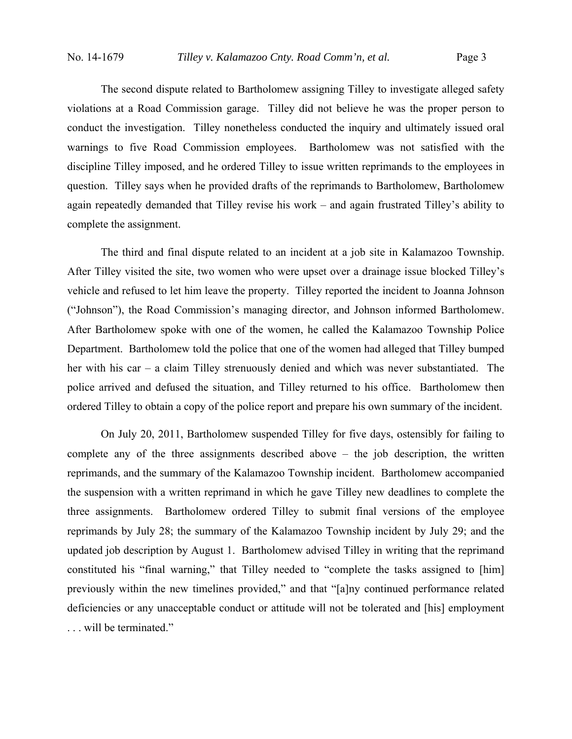The second dispute related to Bartholomew assigning Tilley to investigate alleged safety violations at a Road Commission garage. Tilley did not believe he was the proper person to conduct the investigation. Tilley nonetheless conducted the inquiry and ultimately issued oral warnings to five Road Commission employees. Bartholomew was not satisfied with the discipline Tilley imposed, and he ordered Tilley to issue written reprimands to the employees in question. Tilley says when he provided drafts of the reprimands to Bartholomew, Bartholomew again repeatedly demanded that Tilley revise his work – and again frustrated Tilley's ability to complete the assignment.

 The third and final dispute related to an incident at a job site in Kalamazoo Township. After Tilley visited the site, two women who were upset over a drainage issue blocked Tilley's vehicle and refused to let him leave the property. Tilley reported the incident to Joanna Johnson ("Johnson"), the Road Commission's managing director, and Johnson informed Bartholomew. After Bartholomew spoke with one of the women, he called the Kalamazoo Township Police Department. Bartholomew told the police that one of the women had alleged that Tilley bumped her with his car – a claim Tilley strenuously denied and which was never substantiated. The police arrived and defused the situation, and Tilley returned to his office. Bartholomew then ordered Tilley to obtain a copy of the police report and prepare his own summary of the incident.

 On July 20, 2011, Bartholomew suspended Tilley for five days, ostensibly for failing to complete any of the three assignments described above – the job description, the written reprimands, and the summary of the Kalamazoo Township incident. Bartholomew accompanied the suspension with a written reprimand in which he gave Tilley new deadlines to complete the three assignments. Bartholomew ordered Tilley to submit final versions of the employee reprimands by July 28; the summary of the Kalamazoo Township incident by July 29; and the updated job description by August 1. Bartholomew advised Tilley in writing that the reprimand constituted his "final warning," that Tilley needed to "complete the tasks assigned to [him] previously within the new timelines provided," and that "[a]ny continued performance related deficiencies or any unacceptable conduct or attitude will not be tolerated and [his] employment . . . will be terminated."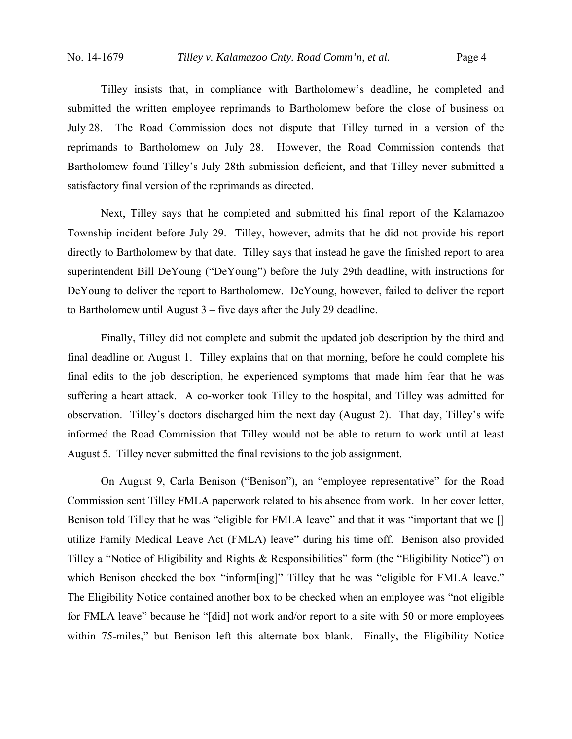Tilley insists that, in compliance with Bartholomew's deadline, he completed and submitted the written employee reprimands to Bartholomew before the close of business on July 28. The Road Commission does not dispute that Tilley turned in a version of the reprimands to Bartholomew on July 28. However, the Road Commission contends that Bartholomew found Tilley's July 28th submission deficient, and that Tilley never submitted a satisfactory final version of the reprimands as directed.

 Next, Tilley says that he completed and submitted his final report of the Kalamazoo Township incident before July 29. Tilley, however, admits that he did not provide his report directly to Bartholomew by that date. Tilley says that instead he gave the finished report to area superintendent Bill DeYoung ("DeYoung") before the July 29th deadline, with instructions for DeYoung to deliver the report to Bartholomew. DeYoung, however, failed to deliver the report to Bartholomew until August 3 – five days after the July 29 deadline.

 Finally, Tilley did not complete and submit the updated job description by the third and final deadline on August 1. Tilley explains that on that morning, before he could complete his final edits to the job description, he experienced symptoms that made him fear that he was suffering a heart attack. A co-worker took Tilley to the hospital, and Tilley was admitted for observation. Tilley's doctors discharged him the next day (August 2). That day, Tilley's wife informed the Road Commission that Tilley would not be able to return to work until at least August 5. Tilley never submitted the final revisions to the job assignment.

 On August 9, Carla Benison ("Benison"), an "employee representative" for the Road Commission sent Tilley FMLA paperwork related to his absence from work. In her cover letter, Benison told Tilley that he was "eligible for FMLA leave" and that it was "important that we [] utilize Family Medical Leave Act (FMLA) leave" during his time off. Benison also provided Tilley a "Notice of Eligibility and Rights & Responsibilities" form (the "Eligibility Notice") on which Benison checked the box "inform[ing]" Tilley that he was "eligible for FMLA leave." The Eligibility Notice contained another box to be checked when an employee was "not eligible for FMLA leave" because he "[did] not work and/or report to a site with 50 or more employees within 75-miles," but Benison left this alternate box blank. Finally, the Eligibility Notice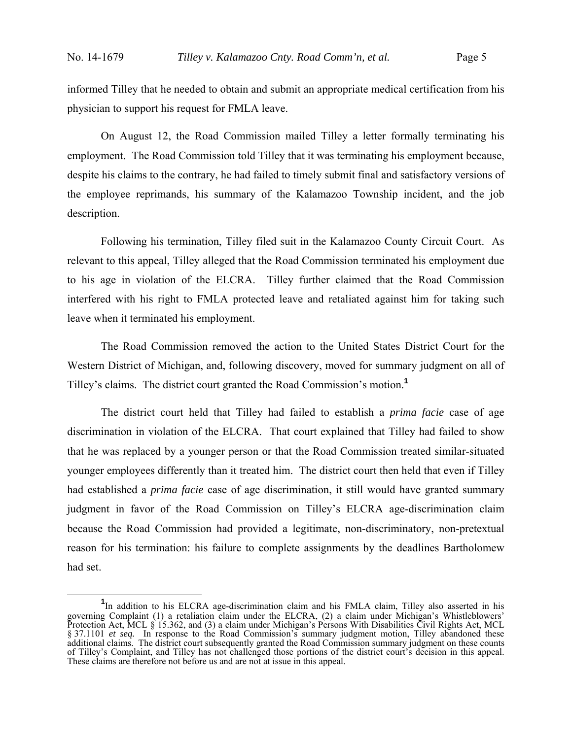informed Tilley that he needed to obtain and submit an appropriate medical certification from his physician to support his request for FMLA leave.

 On August 12, the Road Commission mailed Tilley a letter formally terminating his employment. The Road Commission told Tilley that it was terminating his employment because, despite his claims to the contrary, he had failed to timely submit final and satisfactory versions of the employee reprimands, his summary of the Kalamazoo Township incident, and the job description.

 Following his termination, Tilley filed suit in the Kalamazoo County Circuit Court. As relevant to this appeal, Tilley alleged that the Road Commission terminated his employment due to his age in violation of the ELCRA. Tilley further claimed that the Road Commission interfered with his right to FMLA protected leave and retaliated against him for taking such leave when it terminated his employment.

 The Road Commission removed the action to the United States District Court for the Western District of Michigan, and, following discovery, moved for summary judgment on all of Tilley's claims. The district court granted the Road Commission's motion.**<sup>1</sup>**

 The district court held that Tilley had failed to establish a *prima facie* case of age discrimination in violation of the ELCRA. That court explained that Tilley had failed to show that he was replaced by a younger person or that the Road Commission treated similar-situated younger employees differently than it treated him. The district court then held that even if Tilley had established a *prima facie* case of age discrimination, it still would have granted summary judgment in favor of the Road Commission on Tilley's ELCRA age-discrimination claim because the Road Commission had provided a legitimate, non-discriminatory, non-pretextual reason for his termination: his failure to complete assignments by the deadlines Bartholomew had set.

<sup>&</sup>lt;sup>1</sup>In addition to his ELCRA age-discrimination claim and his FMLA claim, Tilley also asserted in his governing Complaint (1) a retaliation claim under the ELCRA, (2) a claim under Michigan's Whistleblowers' Protection Act, MCL § 15.362, and (3) a claim under Michigan's Persons With Disabilities Civil Rights Act, MCL § 37.1101 *et seq.* In response to the Road Commission's summary judgment motion, Tilley abandoned these additional claims. The district court subsequently granted the Road Commission summary judgment on these counts of Tilley's Complaint, and Tilley has not challenged those portions of the district court's decision in this appeal. These claims are therefore not before us and are not at issue in this appeal.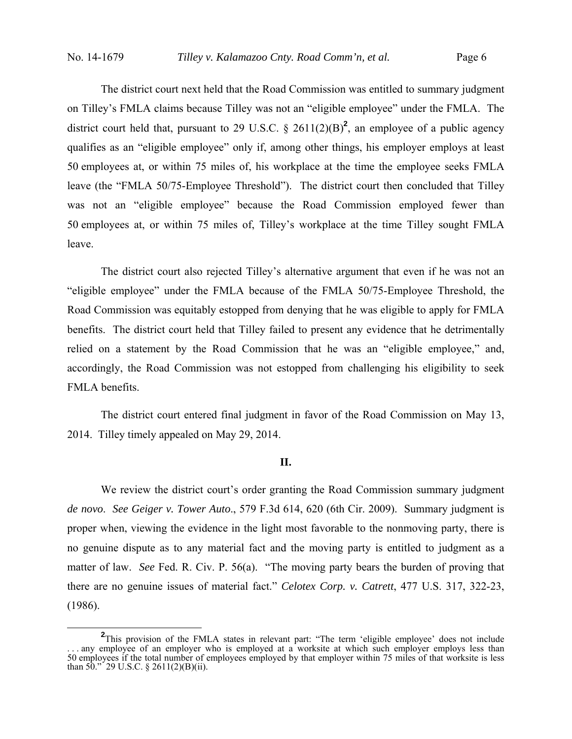The district court next held that the Road Commission was entitled to summary judgment on Tilley's FMLA claims because Tilley was not an "eligible employee" under the FMLA. The district court held that, pursuant to 29 U.S.C.  $\S$  2611(2)(B)<sup>2</sup>, an employee of a public agency qualifies as an "eligible employee" only if, among other things, his employer employs at least 50 employees at, or within 75 miles of, his workplace at the time the employee seeks FMLA leave (the "FMLA 50/75-Employee Threshold"). The district court then concluded that Tilley was not an "eligible employee" because the Road Commission employed fewer than 50 employees at, or within 75 miles of, Tilley's workplace at the time Tilley sought FMLA leave.

 The district court also rejected Tilley's alternative argument that even if he was not an "eligible employee" under the FMLA because of the FMLA 50/75-Employee Threshold, the Road Commission was equitably estopped from denying that he was eligible to apply for FMLA benefits. The district court held that Tilley failed to present any evidence that he detrimentally relied on a statement by the Road Commission that he was an "eligible employee," and, accordingly, the Road Commission was not estopped from challenging his eligibility to seek FMLA benefits.

 The district court entered final judgment in favor of the Road Commission on May 13, 2014. Tilley timely appealed on May 29, 2014.

#### **II.**

 We review the district court's order granting the Road Commission summary judgment *de novo*. *See Geiger v. Tower Auto*., 579 F.3d 614, 620 (6th Cir. 2009). Summary judgment is proper when, viewing the evidence in the light most favorable to the nonmoving party, there is no genuine dispute as to any material fact and the moving party is entitled to judgment as a matter of law. *See* Fed. R. Civ. P. 56(a). "The moving party bears the burden of proving that there are no genuine issues of material fact." *Celotex Corp. v. Catrett*, 477 U.S. 317, 322-23, (1986).

**<sup>2</sup>** <sup>2</sup>This provision of the FMLA states in relevant part: "The term 'eligible employee' does not include . . . any employee of an employer who is employed at a worksite at which such employer employs less than 50 employees if the total number of employees employed by that employer within 75 miles of that worksite is less than  $50.^{\circ}$  29 U.S.C. § 2611(2)(B)(ii).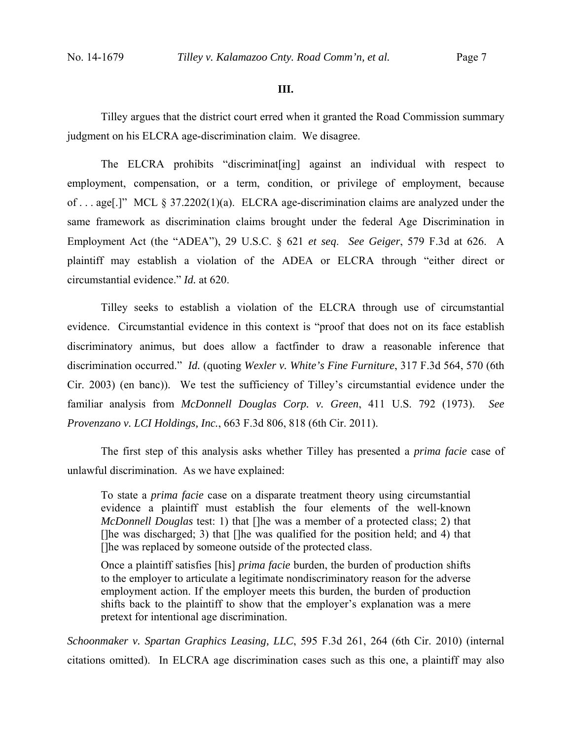#### **III.**

 Tilley argues that the district court erred when it granted the Road Commission summary judgment on his ELCRA age-discrimination claim. We disagree.

 The ELCRA prohibits "discriminat[ing] against an individual with respect to employment, compensation, or a term, condition, or privilege of employment, because of . . . age[.]" MCL § 37.2202(1)(a). ELCRA age-discrimination claims are analyzed under the same framework as discrimination claims brought under the federal Age Discrimination in Employment Act (the "ADEA"), 29 U.S.C. § 621 *et seq*. *See Geiger*, 579 F.3d at 626. A plaintiff may establish a violation of the ADEA or ELCRA through "either direct or circumstantial evidence." *Id.* at 620.

 Tilley seeks to establish a violation of the ELCRA through use of circumstantial evidence. Circumstantial evidence in this context is "proof that does not on its face establish discriminatory animus, but does allow a factfinder to draw a reasonable inference that discrimination occurred." *Id.* (quoting *Wexler v. White's Fine Furniture*, 317 F.3d 564, 570 (6th Cir. 2003) (en banc)). We test the sufficiency of Tilley's circumstantial evidence under the familiar analysis from *McDonnell Douglas Corp. v. Green*, 411 U.S. 792 (1973). *See Provenzano v. LCI Holdings, Inc.*, 663 F.3d 806, 818 (6th Cir. 2011).

The first step of this analysis asks whether Tilley has presented a *prima facie* case of unlawful discrimination. As we have explained:

To state a *prima facie* case on a disparate treatment theory using circumstantial evidence a plaintiff must establish the four elements of the well-known *McDonnell Douglas* test: 1) that []he was a member of a protected class; 2) that []he was discharged; 3) that []he was qualified for the position held; and 4) that []he was replaced by someone outside of the protected class.

Once a plaintiff satisfies [his] *prima facie* burden, the burden of production shifts to the employer to articulate a legitimate nondiscriminatory reason for the adverse employment action. If the employer meets this burden, the burden of production shifts back to the plaintiff to show that the employer's explanation was a mere pretext for intentional age discrimination.

*Schoonmaker v. Spartan Graphics Leasing, LLC*, 595 F.3d 261, 264 (6th Cir. 2010) (internal citations omitted). In ELCRA age discrimination cases such as this one, a plaintiff may also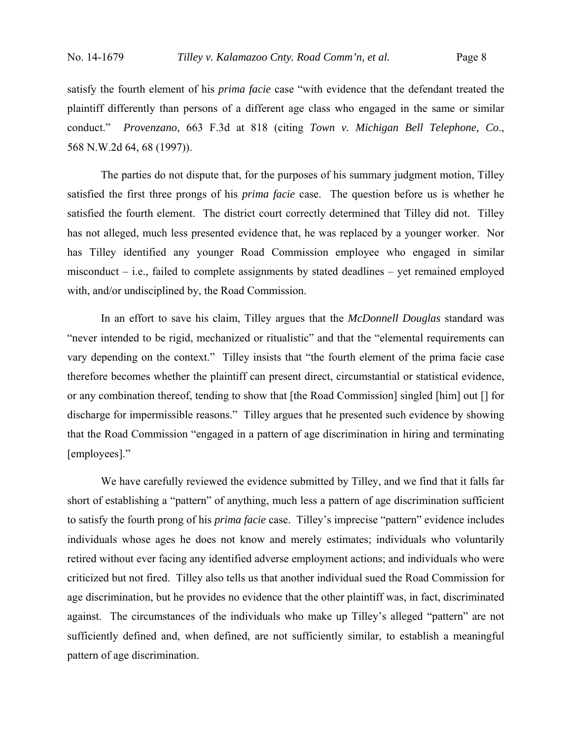satisfy the fourth element of his *prima facie* case "with evidence that the defendant treated the plaintiff differently than persons of a different age class who engaged in the same or similar conduct." *Provenzano*, 663 F.3d at 818 (citing *Town v. Michigan Bell Telephone, Co*., 568 N.W.2d 64, 68 (1997)).

 The parties do not dispute that, for the purposes of his summary judgment motion, Tilley satisfied the first three prongs of his *prima facie* case. The question before us is whether he satisfied the fourth element. The district court correctly determined that Tilley did not. Tilley has not alleged, much less presented evidence that, he was replaced by a younger worker. Nor has Tilley identified any younger Road Commission employee who engaged in similar misconduct – i.e., failed to complete assignments by stated deadlines – yet remained employed with, and/or undisciplined by, the Road Commission.

 In an effort to save his claim, Tilley argues that the *McDonnell Douglas* standard was "never intended to be rigid, mechanized or ritualistic" and that the "elemental requirements can vary depending on the context." Tilley insists that "the fourth element of the prima facie case therefore becomes whether the plaintiff can present direct, circumstantial or statistical evidence, or any combination thereof, tending to show that [the Road Commission] singled [him] out [] for discharge for impermissible reasons." Tilley argues that he presented such evidence by showing that the Road Commission "engaged in a pattern of age discrimination in hiring and terminating [employees]."

 We have carefully reviewed the evidence submitted by Tilley, and we find that it falls far short of establishing a "pattern" of anything, much less a pattern of age discrimination sufficient to satisfy the fourth prong of his *prima facie* case. Tilley's imprecise "pattern" evidence includes individuals whose ages he does not know and merely estimates; individuals who voluntarily retired without ever facing any identified adverse employment actions; and individuals who were criticized but not fired. Tilley also tells us that another individual sued the Road Commission for age discrimination, but he provides no evidence that the other plaintiff was, in fact, discriminated against. The circumstances of the individuals who make up Tilley's alleged "pattern" are not sufficiently defined and, when defined, are not sufficiently similar, to establish a meaningful pattern of age discrimination.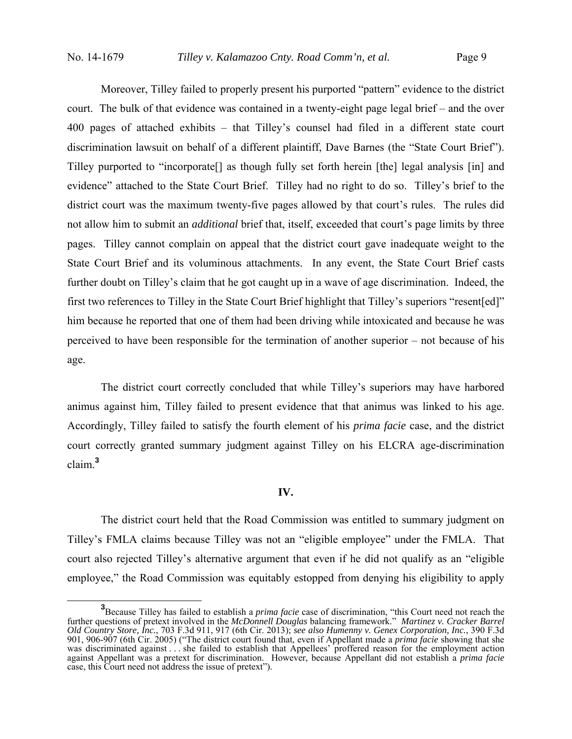Moreover, Tilley failed to properly present his purported "pattern" evidence to the district court. The bulk of that evidence was contained in a twenty-eight page legal brief – and the over 400 pages of attached exhibits – that Tilley's counsel had filed in a different state court discrimination lawsuit on behalf of a different plaintiff, Dave Barnes (the "State Court Brief"). Tilley purported to "incorporate[] as though fully set forth herein [the] legal analysis [in] and evidence" attached to the State Court Brief. Tilley had no right to do so. Tilley's brief to the district court was the maximum twenty-five pages allowed by that court's rules. The rules did not allow him to submit an *additional* brief that, itself, exceeded that court's page limits by three pages. Tilley cannot complain on appeal that the district court gave inadequate weight to the State Court Brief and its voluminous attachments. In any event, the State Court Brief casts further doubt on Tilley's claim that he got caught up in a wave of age discrimination. Indeed, the first two references to Tilley in the State Court Brief highlight that Tilley's superiors "resent[ed]" him because he reported that one of them had been driving while intoxicated and because he was perceived to have been responsible for the termination of another superior – not because of his age.

The district court correctly concluded that while Tilley's superiors may have harbored animus against him, Tilley failed to present evidence that that animus was linked to his age. Accordingly, Tilley failed to satisfy the fourth element of his *prima facie* case, and the district court correctly granted summary judgment against Tilley on his ELCRA age-discrimination claim.**<sup>3</sup>**

#### **IV.**

The district court held that the Road Commission was entitled to summary judgment on Tilley's FMLA claims because Tilley was not an "eligible employee" under the FMLA. That court also rejected Tilley's alternative argument that even if he did not qualify as an "eligible employee," the Road Commission was equitably estopped from denying his eligibility to apply

<sup>&</sup>lt;sup>3</sup> Because Tilley has failed to establish a *prima facie* case of discrimination, "this Court need not reach the further questions of pretext involved in the *McDonnell Douglas* balancing framework." *Martinez v. Cracker Barrel Old Country Store, Inc.*, 703 F.3d 911, 917 (6th Cir. 2013); *see also Humenny v. Genex Corporation, Inc.*, 390 F.3d 901, 906-907 (6th Cir. 2005) ("The district court found that, even if Appellant made a *prima facie* showing that she was discriminated against . . . she failed to establish that Appellees' proffered reason for the employment action against Appellant was a pretext for discrimination. However, because Appellant did not establish a *prima facie* case, this Court need not address the issue of pretext").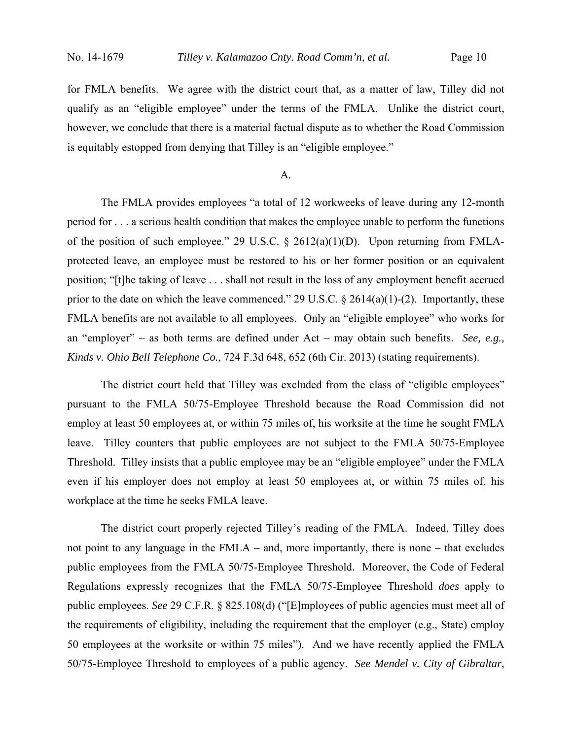for FMLA benefits. We agree with the district court that, as a matter of law, Tilley did not qualify as an "eligible employee" under the terms of the FMLA. Unlike the district court, however, we conclude that there is a material factual dispute as to whether the Road Commission is equitably estopped from denying that Tilley is an "eligible employee."

#### A.

 The FMLA provides employees "a total of 12 workweeks of leave during any 12-month period for . . . a serious health condition that makes the employee unable to perform the functions of the position of such employee." 29 U.S.C. § 2612(a)(1)(D). Upon returning from FMLAprotected leave, an employee must be restored to his or her former position or an equivalent position; "[t]he taking of leave . . . shall not result in the loss of any employment benefit accrued prior to the date on which the leave commenced." 29 U.S.C.  $\S$  2614(a)(1)-(2). Importantly, these FMLA benefits are not available to all employees. Only an "eligible employee" who works for an "employer" – as both terms are defined under Act – may obtain such benefits. *See, e.g., Kinds v. Ohio Bell Telephone Co.*, 724 F.3d 648, 652 (6th Cir. 2013) (stating requirements).

The district court held that Tilley was excluded from the class of "eligible employees" pursuant to the FMLA 50/75-Employee Threshold because the Road Commission did not employ at least 50 employees at, or within 75 miles of, his worksite at the time he sought FMLA leave. Tilley counters that public employees are not subject to the FMLA 50/75-Employee Threshold. Tilley insists that a public employee may be an "eligible employee" under the FMLA even if his employer does not employ at least 50 employees at, or within 75 miles of, his workplace at the time he seeks FMLA leave.

 The district court properly rejected Tilley's reading of the FMLA. Indeed, Tilley does not point to any language in the FMLA – and, more importantly, there is none – that excludes public employees from the FMLA 50/75-Employee Threshold. Moreover, the Code of Federal Regulations expressly recognizes that the FMLA 50/75-Employee Threshold *does* apply to public employees. *See* 29 C.F.R. § 825.108(d) ("[E]mployees of public agencies must meet all of the requirements of eligibility, including the requirement that the employer (e.g., State) employ 50 employees at the worksite or within 75 miles"). And we have recently applied the FMLA 50/75-Employee Threshold to employees of a public agency. *See Mendel v. City of Gibraltar*,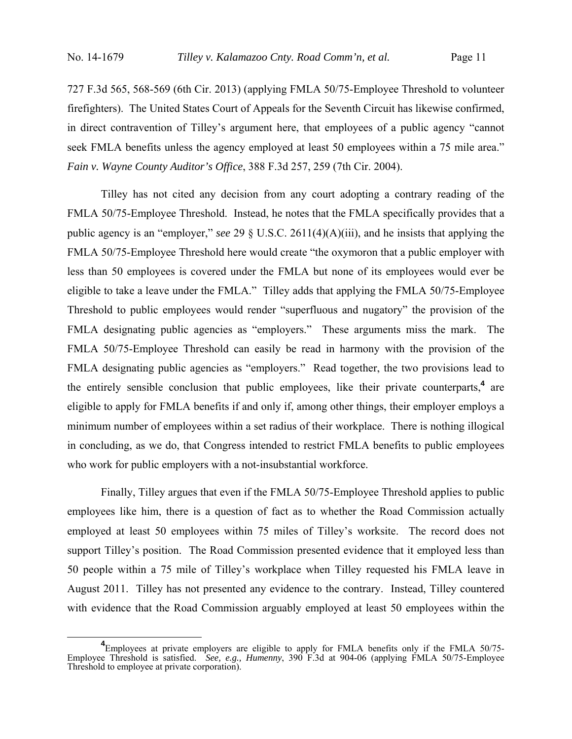727 F.3d 565, 568-569 (6th Cir. 2013) (applying FMLA 50/75-Employee Threshold to volunteer firefighters). The United States Court of Appeals for the Seventh Circuit has likewise confirmed, in direct contravention of Tilley's argument here, that employees of a public agency "cannot seek FMLA benefits unless the agency employed at least 50 employees within a 75 mile area." *Fain v. Wayne County Auditor's Office*, 388 F.3d 257, 259 (7th Cir. 2004).

Tilley has not cited any decision from any court adopting a contrary reading of the FMLA 50/75-Employee Threshold. Instead, he notes that the FMLA specifically provides that a public agency is an "employer," *see* 29 § U.S.C. 2611(4)(A)(iii), and he insists that applying the FMLA 50/75-Employee Threshold here would create "the oxymoron that a public employer with less than 50 employees is covered under the FMLA but none of its employees would ever be eligible to take a leave under the FMLA." Tilley adds that applying the FMLA 50/75-Employee Threshold to public employees would render "superfluous and nugatory" the provision of the FMLA designating public agencies as "employers." These arguments miss the mark. The FMLA 50/75-Employee Threshold can easily be read in harmony with the provision of the FMLA designating public agencies as "employers." Read together, the two provisions lead to the entirely sensible conclusion that public employees, like their private counterparts,**<sup>4</sup>** are eligible to apply for FMLA benefits if and only if, among other things, their employer employs a minimum number of employees within a set radius of their workplace. There is nothing illogical in concluding, as we do, that Congress intended to restrict FMLA benefits to public employees who work for public employers with a not-insubstantial workforce.

 Finally, Tilley argues that even if the FMLA 50/75-Employee Threshold applies to public employees like him, there is a question of fact as to whether the Road Commission actually employed at least 50 employees within 75 miles of Tilley's worksite. The record does not support Tilley's position. The Road Commission presented evidence that it employed less than 50 people within a 75 mile of Tilley's workplace when Tilley requested his FMLA leave in August 2011. Tilley has not presented any evidence to the contrary. Instead, Tilley countered with evidence that the Road Commission arguably employed at least 50 employees within the

<sup>&</sup>lt;sup>4</sup>
Employees at private employers are eligible to apply for FMLA benefits only if the FMLA 50/75 Employee Threshold is satisfied. *See, e.g., Humenny*, 390 F.3d at 904-06 (applying FMLA 50/75-Employee Threshold to employee at private corporation).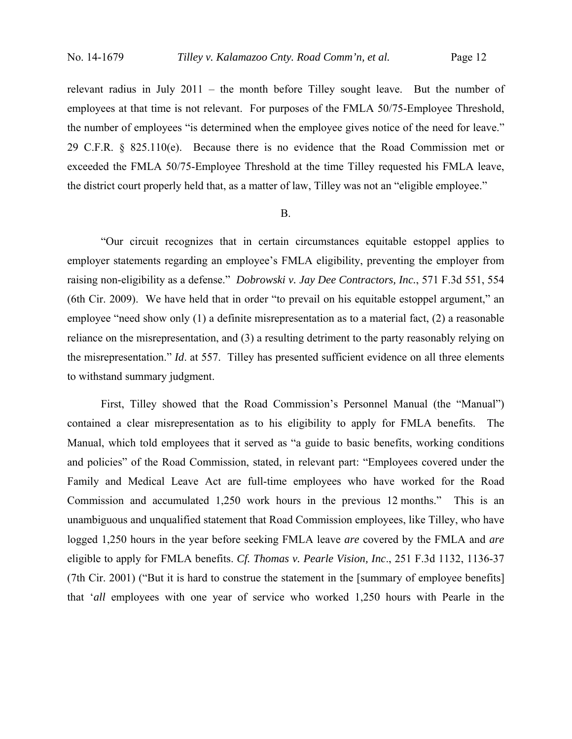relevant radius in July 2011 – the month before Tilley sought leave. But the number of employees at that time is not relevant. For purposes of the FMLA 50/75-Employee Threshold, the number of employees "is determined when the employee gives notice of the need for leave." 29 C.F.R. § 825.110(e). Because there is no evidence that the Road Commission met or exceeded the FMLA 50/75-Employee Threshold at the time Tilley requested his FMLA leave, the district court properly held that, as a matter of law, Tilley was not an "eligible employee."

#### B.

 "Our circuit recognizes that in certain circumstances equitable estoppel applies to employer statements regarding an employee's FMLA eligibility, preventing the employer from raising non-eligibility as a defense." *Dobrowski v. Jay Dee Contractors, Inc.*, 571 F.3d 551, 554 (6th Cir. 2009). We have held that in order "to prevail on his equitable estoppel argument," an employee "need show only (1) a definite misrepresentation as to a material fact, (2) a reasonable reliance on the misrepresentation, and (3) a resulting detriment to the party reasonably relying on the misrepresentation." *Id*. at 557. Tilley has presented sufficient evidence on all three elements to withstand summary judgment.

 First, Tilley showed that the Road Commission's Personnel Manual (the "Manual") contained a clear misrepresentation as to his eligibility to apply for FMLA benefits. The Manual, which told employees that it served as "a guide to basic benefits, working conditions and policies" of the Road Commission, stated, in relevant part: "Employees covered under the Family and Medical Leave Act are full-time employees who have worked for the Road Commission and accumulated 1,250 work hours in the previous 12 months." This is an unambiguous and unqualified statement that Road Commission employees, like Tilley, who have logged 1,250 hours in the year before seeking FMLA leave *are* covered by the FMLA and *are* eligible to apply for FMLA benefits. *Cf. Thomas v. Pearle Vision, Inc*., 251 F.3d 1132, 1136-37 (7th Cir. 2001) ("But it is hard to construe the statement in the [summary of employee benefits] that '*all* employees with one year of service who worked 1,250 hours with Pearle in the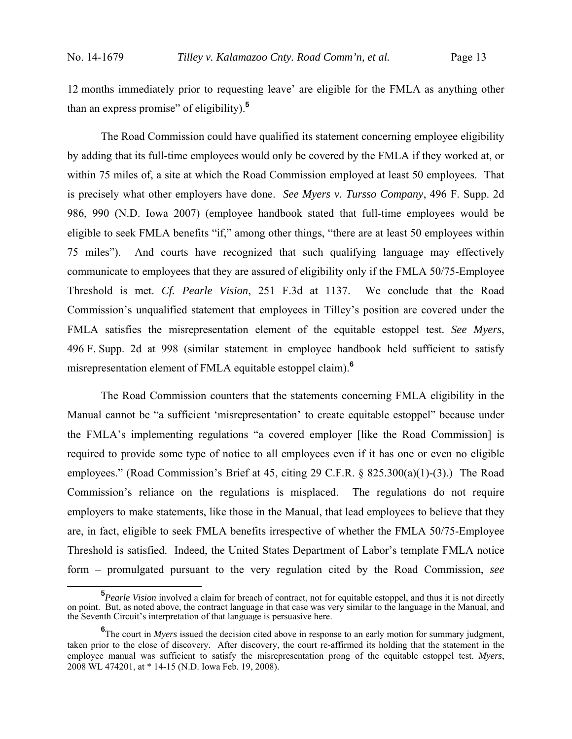12 months immediately prior to requesting leave' are eligible for the FMLA as anything other than an express promise" of eligibility).**<sup>5</sup>**

 The Road Commission could have qualified its statement concerning employee eligibility by adding that its full-time employees would only be covered by the FMLA if they worked at, or within 75 miles of, a site at which the Road Commission employed at least 50 employees. That is precisely what other employers have done. *See Myers v. Tursso Company*, 496 F. Supp. 2d 986, 990 (N.D. Iowa 2007) (employee handbook stated that full-time employees would be eligible to seek FMLA benefits "if," among other things, "there are at least 50 employees within 75 miles"). And courts have recognized that such qualifying language may effectively communicate to employees that they are assured of eligibility only if the FMLA 50/75-Employee Threshold is met. *Cf. Pearle Vision*, 251 F.3d at 1137. We conclude that the Road Commission's unqualified statement that employees in Tilley's position are covered under the FMLA satisfies the misrepresentation element of the equitable estoppel test. *See Myers*, 496 F. Supp. 2d at 998 (similar statement in employee handbook held sufficient to satisfy misrepresentation element of FMLA equitable estoppel claim).**<sup>6</sup>**

 The Road Commission counters that the statements concerning FMLA eligibility in the Manual cannot be "a sufficient 'misrepresentation' to create equitable estoppel" because under the FMLA's implementing regulations "a covered employer [like the Road Commission] is required to provide some type of notice to all employees even if it has one or even no eligible employees." (Road Commission's Brief at 45, citing 29 C.F.R. § 825.300(a)(1)-(3).) The Road Commission's reliance on the regulations is misplaced. The regulations do not require employers to make statements, like those in the Manual, that lead employees to believe that they are, in fact, eligible to seek FMLA benefits irrespective of whether the FMLA 50/75-Employee Threshold is satisfied. Indeed, the United States Department of Labor's template FMLA notice form – promulgated pursuant to the very regulation cited by the Road Commission, *see*

**<sup>5</sup>** *Pearle Vision* involved a claim for breach of contract, not for equitable estoppel, and thus it is not directly on point. But, as noted above, the contract language in that case was very similar to the language in the Manual, and the Seventh Circuit's interpretation of that language is persuasive here.

<sup>&</sup>lt;sup>6</sup>The court in *Myers* issued the decision cited above in response to an early motion for summary judgment, taken prior to the close of discovery. After discovery, the court re-affirmed its holding that the statement in the employee manual was sufficient to satisfy the misrepresentation prong of the equitable estoppel test. *Myers*, 2008 WL 474201, at \* 14-15 (N.D. Iowa Feb. 19, 2008).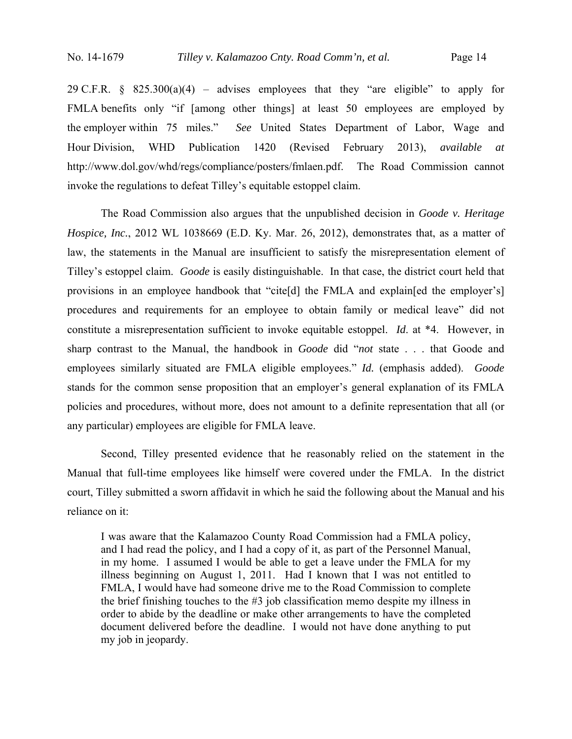29 C.F.R.  $\frac{1}{2}$  825.300(a)(4) – advises employees that they "are eligible" to apply for FMLA benefits only "if [among other things] at least 50 employees are employed by the employer within 75 miles." *See* United States Department of Labor, Wage and Hour Division, WHD Publication 1420 (Revised February 2013), *available at* http://www.dol.gov/whd/regs/compliance/posters/fmlaen.pdf. The Road Commission cannot invoke the regulations to defeat Tilley's equitable estoppel claim.

 The Road Commission also argues that the unpublished decision in *Goode v. Heritage Hospice, Inc.*, 2012 WL 1038669 (E.D. Ky. Mar. 26, 2012), demonstrates that, as a matter of law, the statements in the Manual are insufficient to satisfy the misrepresentation element of Tilley's estoppel claim. *Goode* is easily distinguishable. In that case, the district court held that provisions in an employee handbook that "cite[d] the FMLA and explain[ed the employer's] procedures and requirements for an employee to obtain family or medical leave" did not constitute a misrepresentation sufficient to invoke equitable estoppel. *Id*. at \*4. However, in sharp contrast to the Manual, the handbook in *Goode* did "*not* state . . . that Goode and employees similarly situated are FMLA eligible employees." *Id.* (emphasis added). *Goode* stands for the common sense proposition that an employer's general explanation of its FMLA policies and procedures, without more, does not amount to a definite representation that all (or any particular) employees are eligible for FMLA leave.

 Second, Tilley presented evidence that he reasonably relied on the statement in the Manual that full-time employees like himself were covered under the FMLA. In the district court, Tilley submitted a sworn affidavit in which he said the following about the Manual and his reliance on it:

I was aware that the Kalamazoo County Road Commission had a FMLA policy, and I had read the policy, and I had a copy of it, as part of the Personnel Manual, in my home. I assumed I would be able to get a leave under the FMLA for my illness beginning on August 1, 2011. Had I known that I was not entitled to FMLA, I would have had someone drive me to the Road Commission to complete the brief finishing touches to the #3 job classification memo despite my illness in order to abide by the deadline or make other arrangements to have the completed document delivered before the deadline. I would not have done anything to put my job in jeopardy.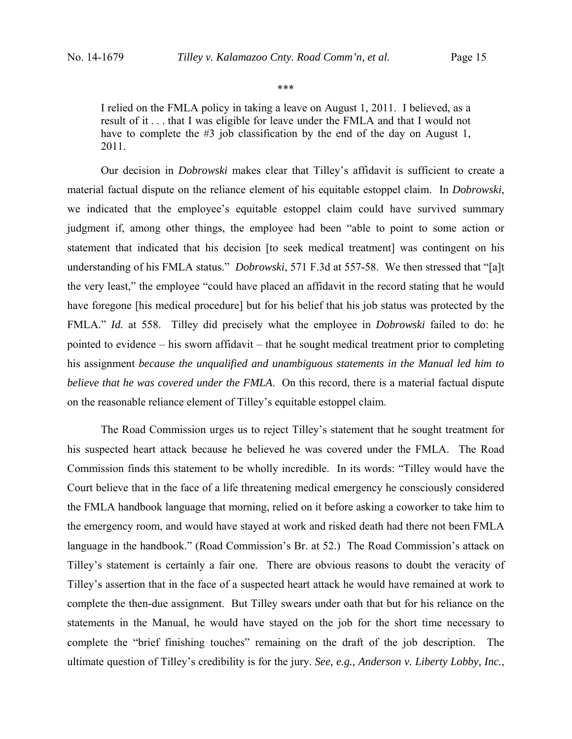\*\*\*

I relied on the FMLA policy in taking a leave on August 1, 2011. I believed, as a result of it . . . that I was eligible for leave under the FMLA and that I would not have to complete the #3 job classification by the end of the day on August 1, 2011.

 Our decision in *Dobrowski* makes clear that Tilley's affidavit is sufficient to create a material factual dispute on the reliance element of his equitable estoppel claim. In *Dobrowski*, we indicated that the employee's equitable estoppel claim could have survived summary judgment if, among other things, the employee had been "able to point to some action or statement that indicated that his decision [to seek medical treatment] was contingent on his understanding of his FMLA status." *Dobrowski*, 571 F.3d at 557-58. We then stressed that "[a]t the very least," the employee "could have placed an affidavit in the record stating that he would have foregone [his medical procedure] but for his belief that his job status was protected by the FMLA." *Id.* at 558.Tilley did precisely what the employee in *Dobrowski* failed to do: he pointed to evidence – his sworn affidavit – that he sought medical treatment prior to completing his assignment *because the unqualified and unambiguous statements in the Manual led him to believe that he was covered under the FMLA*. On this record, there is a material factual dispute on the reasonable reliance element of Tilley's equitable estoppel claim.

 The Road Commission urges us to reject Tilley's statement that he sought treatment for his suspected heart attack because he believed he was covered under the FMLA. The Road Commission finds this statement to be wholly incredible. In its words: "Tilley would have the Court believe that in the face of a life threatening medical emergency he consciously considered the FMLA handbook language that morning, relied on it before asking a coworker to take him to the emergency room, and would have stayed at work and risked death had there not been FMLA language in the handbook." (Road Commission's Br. at 52.) The Road Commission's attack on Tilley's statement is certainly a fair one. There are obvious reasons to doubt the veracity of Tilley's assertion that in the face of a suspected heart attack he would have remained at work to complete the then-due assignment. But Tilley swears under oath that but for his reliance on the statements in the Manual, he would have stayed on the job for the short time necessary to complete the "brief finishing touches" remaining on the draft of the job description. The ultimate question of Tilley's credibility is for the jury. *See, e.g., Anderson v. Liberty Lobby, Inc.*,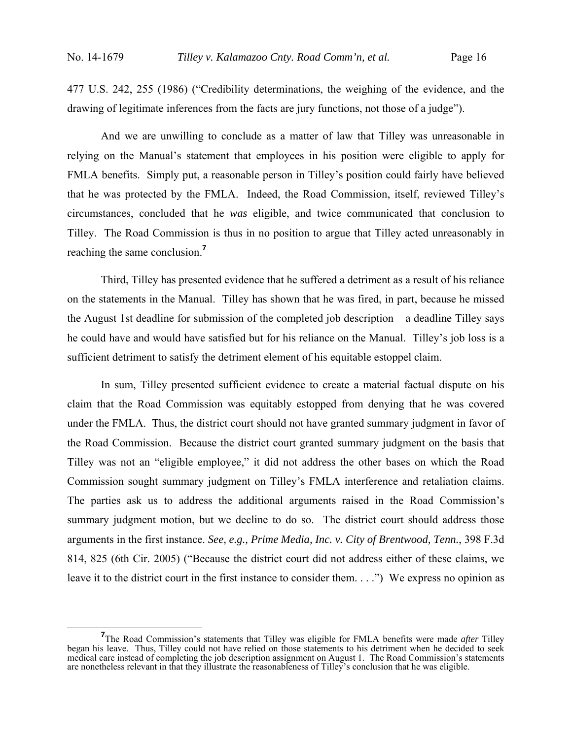477 U.S. 242, 255 (1986) ("Credibility determinations, the weighing of the evidence, and the drawing of legitimate inferences from the facts are jury functions, not those of a judge").

 And we are unwilling to conclude as a matter of law that Tilley was unreasonable in relying on the Manual's statement that employees in his position were eligible to apply for FMLA benefits. Simply put, a reasonable person in Tilley's position could fairly have believed that he was protected by the FMLA. Indeed, the Road Commission, itself, reviewed Tilley's circumstances, concluded that he *was* eligible, and twice communicated that conclusion to Tilley. The Road Commission is thus in no position to argue that Tilley acted unreasonably in reaching the same conclusion.**<sup>7</sup>**

 Third, Tilley has presented evidence that he suffered a detriment as a result of his reliance on the statements in the Manual. Tilley has shown that he was fired, in part, because he missed the August 1st deadline for submission of the completed job description – a deadline Tilley says he could have and would have satisfied but for his reliance on the Manual. Tilley's job loss is a sufficient detriment to satisfy the detriment element of his equitable estoppel claim.

 In sum, Tilley presented sufficient evidence to create a material factual dispute on his claim that the Road Commission was equitably estopped from denying that he was covered under the FMLA. Thus, the district court should not have granted summary judgment in favor of the Road Commission. Because the district court granted summary judgment on the basis that Tilley was not an "eligible employee," it did not address the other bases on which the Road Commission sought summary judgment on Tilley's FMLA interference and retaliation claims. The parties ask us to address the additional arguments raised in the Road Commission's summary judgment motion, but we decline to do so. The district court should address those arguments in the first instance. *See, e.g., Prime Media, Inc. v. City of Brentwood, Tenn.*, 398 F.3d 814, 825 (6th Cir. 2005) ("Because the district court did not address either of these claims, we leave it to the district court in the first instance to consider them. . . .") We express no opinion as

<sup>&</sup>lt;sup>7</sup>The Road Commission's statements that Tilley was eligible for FMLA benefits were made *after* Tilley began his leave. Thus, Tilley could not have relied on those statements to his detriment when he decided to seek medical care instead of completing the job description assignment on August 1. The Road Commission's statements are nonetheless relevant in that they illustrate the reasonableness of Tilley's conclusion that he was eligible.